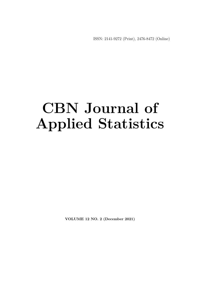ISSN: 2141-9272 (Print), 2476-8472 (Online)

## **CBN Journal of Applied Statistics**

**VOLUME 12 NO. 2 (December 2021)**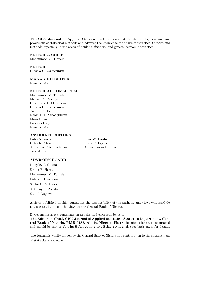**The CBN Journal of Applied Statistics** seeks to contribute to the development and improvement of statistical methods and advance the knowledge of the use of statistical theories and methods especially in the areas of banking, financial and general economic statistics.

#### **EDITOR-in-CHIEF**

Mohammed M. Tumala

**EDITOR** Olusola O. Osifodunrin

#### **MANAGING EDITOR**

Ngozi V. Atoi

#### **EDITORIAL COMMITTEE**

Mohammed M. Tumala Michael A. Adebiyi Olorunsola E. Olowofeso Olusola O. Osifodunrin Yakubu A. Bello Ngozi T. I. Agboegbulem Musa Umar Patricks Ogiji Ngozi V. Atoi

#### **ASSOCIATE EDITORS**

Baba N. Yaaba Umar W. Ibrahim Ochoche Abraham Bright E. Eguasa Tari M. Karimo

Ahmad A. Abdurrahman Chukwunonso G. Iheoma

#### **ADVISORY BOARD**

Kingsley I. Obiora Simon B. Harry Mohammed M. Tumala Fidelis I. Ugwuowo Shehu U. A. Rano Anthony E. Akinlo Sani I. Doguwa

Articles published in this journal are the responsibility of the authors, and views expressed do not necessarily reflect the views of the Central Bank of Nigeria.

Direct manuscripts, comments on articles and correspondence to:

**The Editor-in-Chief, CBN Journal of Applied Statistics, Statistics Department, Central Bank of Nigeria, PMB 0187, Abuja, Nigeria.** Electronic submissions are encouraged and should be sent to **cbn-jas@cbn.gov.ng** or **c@cbn.gov.ng**, also see back pages for details.

The Journal is wholly funded by the Central Bank of Nigeria as a contribution to the advancement of statistics knowledge.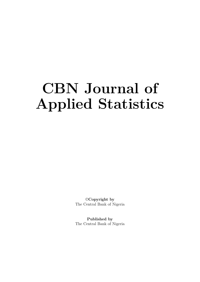# **CBN Journal of Applied Statistics**

©**Copyright by** The Central Bank of Nigeria

**Published by** The Central Bank of Nigeria